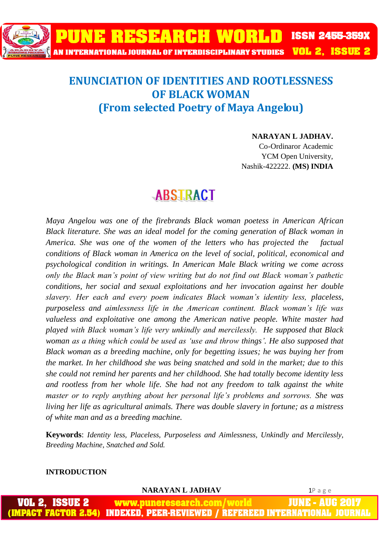

## **ENUNCIATION OF IDENTITIES AND ROOTLESSNESS OF BLACK WOMAN (From selected Poetry of Maya Angelou)**

## **NARAYAN L JADHAV.**

Co-Ordinaror Academic YCM Open University, Nashik-422222. **(MS) INDIA**

## **ABSTRACT**

*Maya Angelou was one of the firebrands Black woman poetess in American African Black literature. She was an ideal model for the coming generation of Black woman in America. She was one of the women of the letters who has projected the factual conditions of Black woman in America on the level of social, political, economical and psychological condition in writings. In American Male Black writing we come across only the Black man's point of view writing but do not find out Black woman's pathetic conditions, her social and sexual exploitations and her invocation against her double slavery. Her each and every poem indicates Black woman's identity less, placeless, purposeless and aimlessness life in the American continent. Black woman's life was valueless and exploitative one among the American native people. White master had played with Black woman's life very unkindly and mercilessly. He supposed that Black woman as a thing which could be used as 'use and throw things'. He also supposed that Black woman as a breeding machine, only for begetting issues; he was buying her from the market. In her childhood she was being snatched and sold in the market; due to this she could not remind her parents and her childhood. She had totally become identity less and rootless from her whole life. She had not any freedom to talk against the white master or to reply anything about her personal life's problems and sorrows. She was living her life as agricultural animals. There was double slavery in fortune; as a mistress of white man and as a breeding machine.* 

**Keywords**: *Identity less, Placeless, Purposeless and Aimlessness, Unkindly and Mercilessly, Breeding Machine, Snatched and Sold.*

## **INTRODUCTION**

**NARAYAN L JADHAV** 1P a g e www.puneresearch.com/world IUNE **INDEXED. PEER-REVIEWED /** IREERRED INTERNA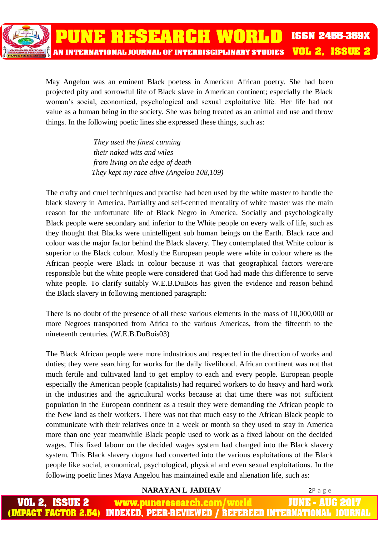

May Angelou was an eminent Black poetess in American African poetry. She had been projected pity and sorrowful life of Black slave in American continent; especially the Black woman's social, economical, psychological and sexual exploitative life. Her life had not value as a human being in the society. She was being treated as an animal and use and throw things. In the following poetic lines she expressed these things, such as:

> *They used the finest cunning their naked wits and wiles from living on the edge of death They kept my race alive (Angelou 108,109)*

The crafty and cruel techniques and practise had been used by the white master to handle the black slavery in America. Partiality and self-centred mentality of white master was the main reason for the unfortunate life of Black Negro in America. Socially and psychologically Black people were secondary and inferior to the White people on every walk of life, such as they thought that Blacks were unintelligent sub human beings on the Earth. Black race and colour was the major factor behind the Black slavery. They contemplated that White colour is superior to the Black colour. Mostly the European people were white in colour where as the African people were Black in colour because it was that geographical factors were/are responsible but the white people were considered that God had made this difference to serve white people. To clarify suitably W.E.B.DuBois has given the evidence and reason behind the Black slavery in following mentioned paragraph:

There is no doubt of the presence of all these various elements in the mass of 10,000,000 or more Negroes transported from Africa to the various Americas, from the fifteenth to the nineteenth centuries. (W.E.B.DuBois03)

The Black African people were more industrious and respected in the direction of works and duties; they were searching for works for the daily livelihood. African continent was not that much fertile and cultivated land to get employ to each and every people. European people especially the American people (capitalists) had required workers to do heavy and hard work in the industries and the agricultural works because at that time there was not sufficient population in the European continent as a result they were demanding the African people to the New land as their workers. There was not that much easy to the African Black people to communicate with their relatives once in a week or month so they used to stay in America more than one year meanwhile Black people used to work as a fixed labour on the decided wages. This fixed labour on the decided wages system had changed into the Black slavery system. This Black slavery dogma had converted into the various exploitations of the Black people like social, economical, psychological, physical and even sexual exploitations. In the following poetic lines Maya Angelou has maintained exile and alienation life, such as:

 **NARAYAN L JADHAV** 2P a g e

ISSUE 2 JUNE - AUG www.puneresearch.com/world **MPACT FACTOR 2.54)** INDEXED. PEER-REVIEWED / REFEREED INTERNATIONAL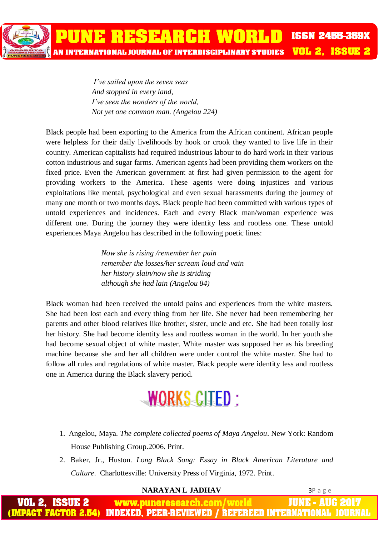PUNE RESEARCH WORLD **VOL 2. ISSUE 2** AN INTERNATIONAL JOURNAL OF INTERDISCIPLINARY STUDIES

**ISSN 2455-359X** 

*I've sailed upon the seven seas And stopped in every land, I've seen the wonders of the world, Not yet one common man. (Angelou 224)*

Black people had been exporting to the America from the African continent. African people were helpless for their daily livelihoods by hook or crook they wanted to live life in their country. American capitalists had required industrious labour to do hard work in their various cotton industrious and sugar farms. American agents had been providing them workers on the fixed price. Even the American government at first had given permission to the agent for providing workers to the America. These agents were doing injustices and various exploitations like mental, psychological and even sexual harassments during the journey of many one month or two months days. Black people had been committed with various types of untold experiences and incidences. Each and every Black man/woman experience was different one. During the journey they were identity less and rootless one. These untold experiences Maya Angelou has described in the following poetic lines:

> *Now she is rising /remember her pain remember the losses/her scream loud and vain her history slain/now she is striding although she had lain (Angelou 84)*

Black woman had been received the untold pains and experiences from the white masters. She had been lost each and every thing from her life. She never had been remembering her parents and other blood relatives like brother, sister, uncle and etc. She had been totally lost her history. She had become identity less and rootless woman in the world. In her youth she had become sexual object of white master. White master was supposed her as his breeding machine because she and her all children were under control the white master. She had to follow all rules and regulations of white master. Black people were identity less and rootless one in America during the Black slavery period.



- 1. Angelou, Maya. *The complete collected poems of Maya Angelou*. New York: Random House Publishing Group.2006. Print.
- 2. Baker, Jr., Huston. *Long Black Song: Essay in Black American Literature and Culture*. Charlottesville: University Press of Virginia, 1972. Print.

 **NARAYAN L JADHAV** 3P a g e www.puneresearch.com/world JUNE - AUG INDEXED. PEER-REVIEWED / REFEREED INTERNATIONAL